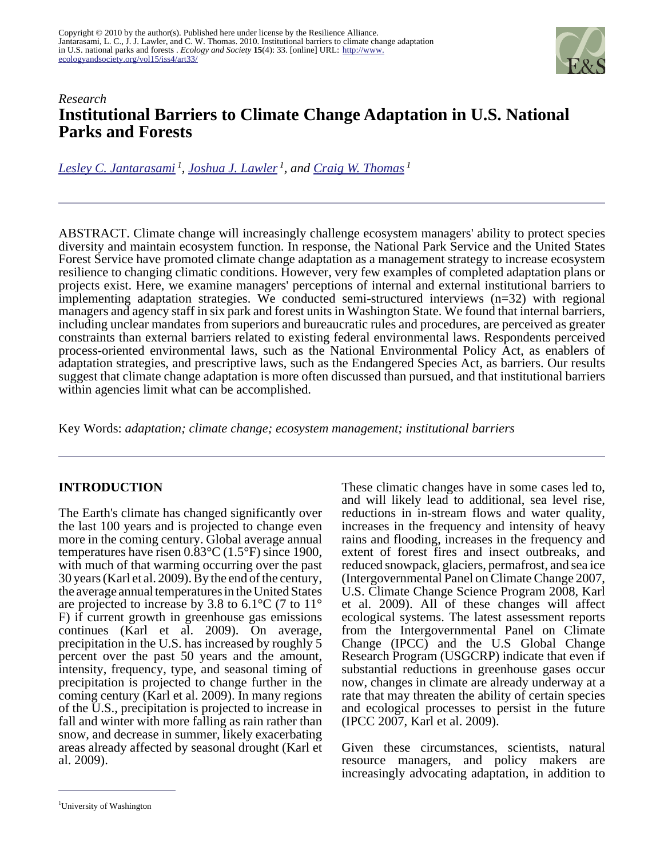

# *Research* **Institutional Barriers to Climate Change Adaptation in U.S. National Parks and Forests**

*[Lesley C. Jantarasami](mailto:ljantara@u.washington.edu)<sup>1</sup> , [Joshua J. Lawler](mailto:jlawler@u.washington.edu)<sup>1</sup>, and [Craig W. Thomas](mailto:thomasc@u.washington.edu)<sup>1</sup>*

ABSTRACT. Climate change will increasingly challenge ecosystem managers' ability to protect species diversity and maintain ecosystem function. In response, the National Park Service and the United States Forest Service have promoted climate change adaptation as a management strategy to increase ecosystem resilience to changing climatic conditions. However, very few examples of completed adaptation plans or projects exist. Here, we examine managers' perceptions of internal and external institutional barriers to implementing adaptation strategies. We conducted semi-structured interviews (n=32) with regional managers and agency staff in six park and forest units in Washington State. We found that internal barriers, including unclear mandates from superiors and bureaucratic rules and procedures, are perceived as greater constraints than external barriers related to existing federal environmental laws. Respondents perceived process-oriented environmental laws, such as the National Environmental Policy Act, as enablers of adaptation strategies, and prescriptive laws, such as the Endangered Species Act, as barriers. Our results suggest that climate change adaptation is more often discussed than pursued, and that institutional barriers within agencies limit what can be accomplished.

Key Words: *adaptation; climate change; ecosystem management; institutional barriers*

## **INTRODUCTION**

The Earth's climate has changed significantly over the last 100 years and is projected to change even more in the coming century. Global average annual temperatures have risen 0.83°C (1.5°F) since 1900, with much of that warming occurring over the past 30 years (Karl et al. 2009). By the end of the century, the average annual temperatures in the United States are projected to increase by 3.8 to 6.1°C (7 to 11° F) if current growth in greenhouse gas emissions continues (Karl et al. 2009). On average, precipitation in the U.S. has increased by roughly 5 percent over the past 50 years and the amount, intensity, frequency, type, and seasonal timing of precipitation is projected to change further in the coming century (Karl et al. 2009). In many regions of the U.S., precipitation is projected to increase in fall and winter with more falling as rain rather than snow, and decrease in summer, likely exacerbating areas already affected by seasonal drought (Karl et al. 2009).

These climatic changes have in some cases led to, and will likely lead to additional, sea level rise, reductions in in-stream flows and water quality, increases in the frequency and intensity of heavy rains and flooding, increases in the frequency and extent of forest fires and insect outbreaks, and reduced snowpack, glaciers, permafrost, and sea ice (Intergovernmental Panel on Climate Change 2007, U.S. Climate Change Science Program 2008, Karl et al. 2009). All of these changes will affect ecological systems. The latest assessment reports from the Intergovernmental Panel on Climate Change (IPCC) and the U.S Global Change Research Program (USGCRP) indicate that even if substantial reductions in greenhouse gases occur now, changes in climate are already underway at a rate that may threaten the ability of certain species and ecological processes to persist in the future (IPCC 2007, Karl et al. 2009).

Given these circumstances, scientists, natural resource managers, and policy makers are increasingly advocating adaptation, in addition to

<sup>1</sup>University of Washington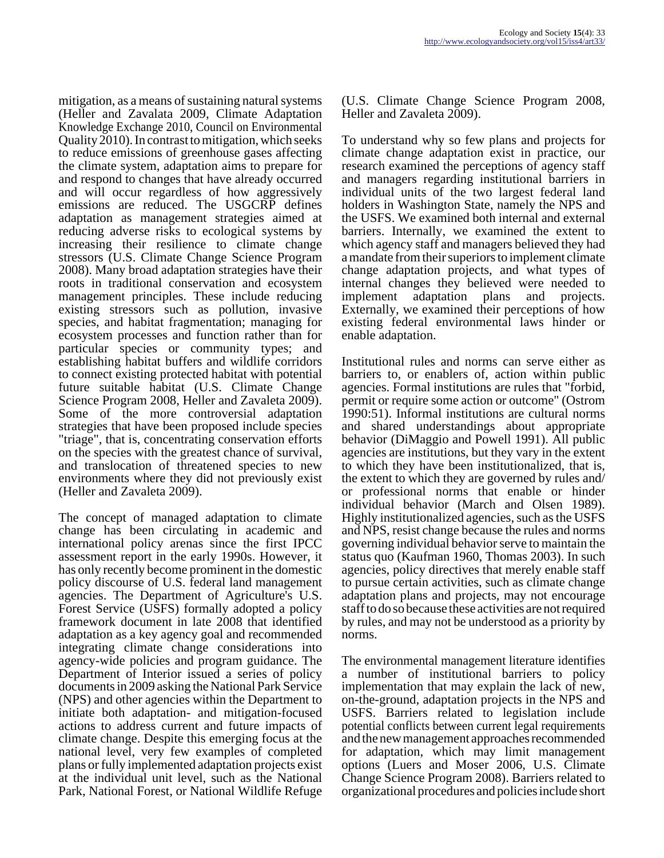mitigation, as a means of sustaining natural systems (Heller and Zavalata 2009, Climate Adaptation Knowledge Exchange 2010, Council on Environmental Quality 2010). In contrast to mitigation, which seeks to reduce emissions of greenhouse gases affecting the climate system, adaptation aims to prepare for and respond to changes that have already occurred and will occur regardless of how aggressively emissions are reduced. The USGCRP defines adaptation as management strategies aimed at reducing adverse risks to ecological systems by increasing their resilience to climate change stressors (U.S. Climate Change Science Program 2008). Many broad adaptation strategies have their roots in traditional conservation and ecosystem management principles. These include reducing existing stressors such as pollution, invasive species, and habitat fragmentation; managing for ecosystem processes and function rather than for particular species or community types; and establishing habitat buffers and wildlife corridors to connect existing protected habitat with potential future suitable habitat (U.S. Climate Change Science Program 2008, Heller and Zavaleta 2009). Some of the more controversial adaptation strategies that have been proposed include species "triage", that is, concentrating conservation efforts on the species with the greatest chance of survival, and translocation of threatened species to new environments where they did not previously exist (Heller and Zavaleta 2009).

The concept of managed adaptation to climate change has been circulating in academic and international policy arenas since the first IPCC assessment report in the early 1990s. However, it has only recently become prominent in the domestic policy discourse of U.S. federal land management agencies. The Department of Agriculture's U.S. Forest Service (USFS) formally adopted a policy framework document in late 2008 that identified adaptation as a key agency goal and recommended integrating climate change considerations into agency-wide policies and program guidance. The Department of Interior issued a series of policy documents in 2009 asking the National Park Service (NPS) and other agencies within the Department to initiate both adaptation- and mitigation-focused actions to address current and future impacts of climate change. Despite this emerging focus at the national level, very few examples of completed plans or fully implemented adaptation projects exist at the individual unit level, such as the National Park, National Forest, or National Wildlife Refuge

(U.S. Climate Change Science Program 2008, Heller and Zavaleta 2009).

To understand why so few plans and projects for climate change adaptation exist in practice, our research examined the perceptions of agency staff and managers regarding institutional barriers in individual units of the two largest federal land holders in Washington State, namely the NPS and the USFS. We examined both internal and external barriers. Internally, we examined the extent to which agency staff and managers believed they had a mandate from their superiors to implement climate change adaptation projects, and what types of internal changes they believed were needed to implement adaptation plans and projects. Externally, we examined their perceptions of how existing federal environmental laws hinder or enable adaptation.

Institutional rules and norms can serve either as barriers to, or enablers of, action within public agencies. Formal institutions are rules that "forbid, permit or require some action or outcome" (Ostrom 1990:51). Informal institutions are cultural norms and shared understandings about appropriate behavior (DiMaggio and Powell 1991). All public agencies are institutions, but they vary in the extent to which they have been institutionalized, that is, the extent to which they are governed by rules and/ or professional norms that enable or hinder individual behavior (March and Olsen 1989). Highly institutionalized agencies, such as the USFS and NPS, resist change because the rules and norms governing individual behavior serve to maintain the status quo (Kaufman 1960, Thomas 2003). In such agencies, policy directives that merely enable staff to pursue certain activities, such as climate change adaptation plans and projects, may not encourage staff to do so because these activities are not required by rules, and may not be understood as a priority by norms.

The environmental management literature identifies a number of institutional barriers to policy implementation that may explain the lack of new, on-the-ground, adaptation projects in the NPS and USFS. Barriers related to legislation include potential conflicts between current legal requirements and the new management approaches recommended for adaptation, which may limit management options (Luers and Moser 2006, U.S. Climate Change Science Program 2008). Barriers related to organizational procedures and policies include short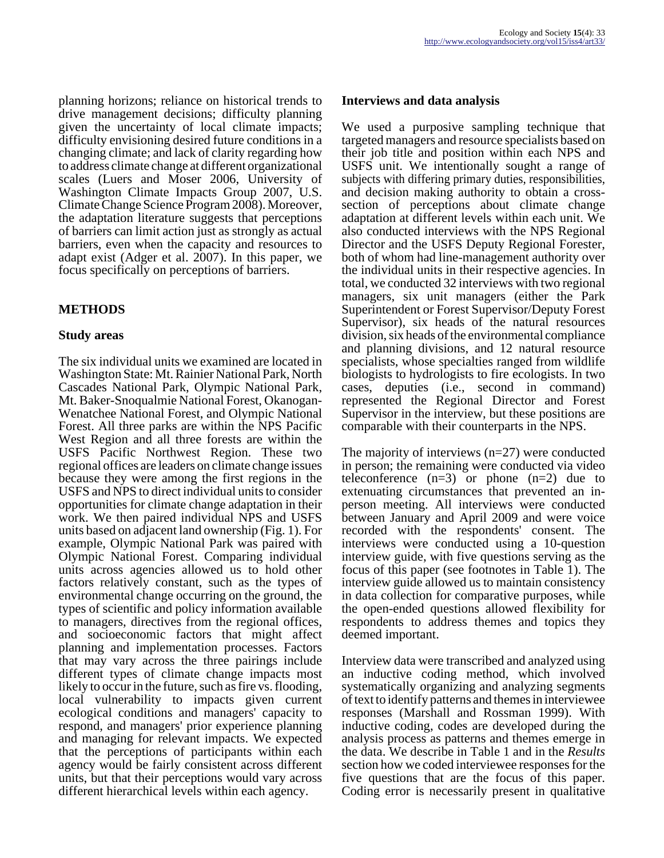planning horizons; reliance on historical trends to drive management decisions; difficulty planning given the uncertainty of local climate impacts; difficulty envisioning desired future conditions in a changing climate; and lack of clarity regarding how to address climate change at different organizational scales (Luers and Moser 2006, University of Washington Climate Impacts Group 2007, U.S. Climate Change Science Program 2008). Moreover, the adaptation literature suggests that perceptions of barriers can limit action just as strongly as actual barriers, even when the capacity and resources to adapt exist (Adger et al. 2007). In this paper, we focus specifically on perceptions of barriers.

## **METHODS**

#### **Study areas**

The six individual units we examined are located in Washington State: Mt. Rainier National Park, North Cascades National Park, Olympic National Park, Mt. Baker-Snoqualmie National Forest, Okanogan-Wenatchee National Forest, and Olympic National Forest. All three parks are within the NPS Pacific West Region and all three forests are within the USFS Pacific Northwest Region. These two regional offices are leaders on climate change issues because they were among the first regions in the USFS and NPS to direct individual units to consider opportunities for climate change adaptation in their work. We then paired individual NPS and USFS units based on adjacent land ownership (Fig. 1). For example, Olympic National Park was paired with Olympic National Forest. Comparing individual units across agencies allowed us to hold other factors relatively constant, such as the types of environmental change occurring on the ground, the types of scientific and policy information available to managers, directives from the regional offices, and socioeconomic factors that might affect planning and implementation processes. Factors that may vary across the three pairings include different types of climate change impacts most likely to occur in the future, such as fire vs. flooding, local vulnerability to impacts given current ecological conditions and managers' capacity to respond, and managers' prior experience planning and managing for relevant impacts. We expected that the perceptions of participants within each agency would be fairly consistent across different units, but that their perceptions would vary across different hierarchical levels within each agency.

#### **Interviews and data analysis**

We used a purposive sampling technique that targeted managers and resource specialists based on their job title and position within each NPS and USFS unit. We intentionally sought a range of subjects with differing primary duties, responsibilities, and decision making authority to obtain a crosssection of perceptions about climate change adaptation at different levels within each unit. We also conducted interviews with the NPS Regional Director and the USFS Deputy Regional Forester, both of whom had line-management authority over the individual units in their respective agencies. In total, we conducted 32 interviews with two regional managers, six unit managers (either the Park Superintendent or Forest Supervisor/Deputy Forest Supervisor), six heads of the natural resources division, six heads of the environmental compliance and planning divisions, and 12 natural resource specialists, whose specialties ranged from wildlife biologists to hydrologists to fire ecologists. In two cases, deputies (i.e., second in command) represented the Regional Director and Forest Supervisor in the interview, but these positions are comparable with their counterparts in the NPS.

The majority of interviews (n=27) were conducted in person; the remaining were conducted via video teleconference  $(n=3)$  or phone  $(n=2)$  due to extenuating circumstances that prevented an inperson meeting. All interviews were conducted between January and April 2009 and were voice recorded with the respondents' consent. The interviews were conducted using a 10-question interview guide, with five questions serving as the focus of this paper (see footnotes in Table 1). The interview guide allowed us to maintain consistency in data collection for comparative purposes, while the open-ended questions allowed flexibility for respondents to address themes and topics they deemed important.

Interview data were transcribed and analyzed using an inductive coding method, which involved systematically organizing and analyzing segments of text to identify patterns and themes in interviewee responses (Marshall and Rossman 1999). With inductive coding, codes are developed during the analysis process as patterns and themes emerge in the data. We describe in Table 1 and in the *Results* section how we coded interviewee responses for the five questions that are the focus of this paper. Coding error is necessarily present in qualitative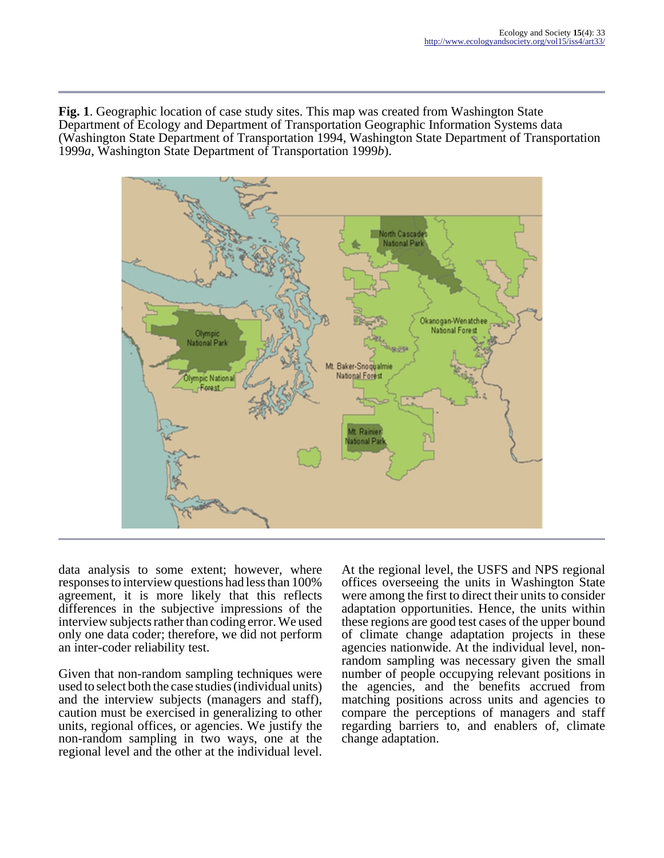**Fig. 1**. Geographic location of case study sites. This map was created from Washington State Department of Ecology and Department of Transportation Geographic Information Systems data (Washington State Department of Transportation 1994, Washington State Department of Transportation 1999*a*, Washington State Department of Transportation 1999*b*).



data analysis to some extent; however, where responses to interview questions had less than 100% agreement, it is more likely that this reflects differences in the subjective impressions of the interview subjects rather than coding error. We used only one data coder; therefore, we did not perform an inter-coder reliability test.

Given that non-random sampling techniques were used to select both the case studies (individual units) and the interview subjects (managers and staff), caution must be exercised in generalizing to other units, regional offices, or agencies. We justify the non-random sampling in two ways, one at the regional level and the other at the individual level.

At the regional level, the USFS and NPS regional offices overseeing the units in Washington State were among the first to direct their units to consider adaptation opportunities. Hence, the units within these regions are good test cases of the upper bound of climate change adaptation projects in these agencies nationwide. At the individual level, nonrandom sampling was necessary given the small number of people occupying relevant positions in the agencies, and the benefits accrued from matching positions across units and agencies to compare the perceptions of managers and staff regarding barriers to, and enablers of, climate change adaptation.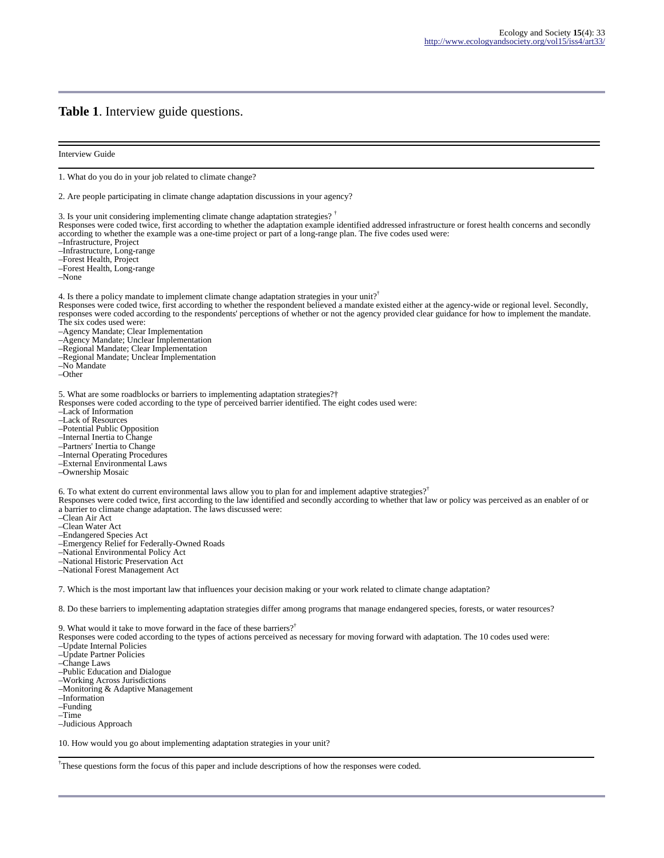#### **Table 1**. Interview guide questions.

#### Interview Guide

1. What do you do in your job related to climate change?

3. Is your unit considering implementing climate change adaptation strategies? †

Responses were coded twice, first according to whether the adaptation example identified addressed infrastructure or forest health concerns and secondly according to whether the example was a one-time project or part of a long-range plan. The five codes used were:

–Infrastructure, Project

–Infrastructure, Long-range

–Forest Health, Project

–Forest Health, Long-range

–None

4. Is there a policy mandate to implement climate change adaptation strategies in your unit?<sup>†</sup>

Responses were coded twice, first according to whether the respondent believed a mandate existed either at the agency-wide or regional level. Secondly, responses were coded according to the respondents' perceptions of whether or not the agency provided clear guidance for how to implement the mandate. The six codes used were:

–Agency Mandate; Clear Implementation

–Agency Mandate; Unclear Implementation

–Regional Mandate; Clear Implementation

–Regional Mandate; Unclear Implementation

–No Mandate

–Other

5. What are some roadblocks or barriers to implementing adaptation strategies?†

Responses were coded according to the type of perceived barrier identified. The eight codes used were:

–Lack of Information

–Lack of Resources

–Potential Public Opposition

–Internal Inertia to Change

–Partners' Inertia to Change

–Internal Operating Procedures

–External Environmental Laws

–Ownership Mosaic

6. To what extent do current environmental laws allow you to plan for and implement adaptive strategies?†

Responses were coded twice, first according to the law identified and secondly according to whether that law or policy was perceived as an enabler of or a barrier to climate change adaptation. The laws discussed were:

–Clean Air Act

–Clean Water Act

–Endangered Species Act

–Emergency Relief for Federally-Owned Roads

–National Environmental Policy Act

–National Historic Preservation Act

–National Forest Management Act

7. Which is the most important law that influences your decision making or your work related to climate change adaptation?

8. Do these barriers to implementing adaptation strategies differ among programs that manage endangered species, forests, or water resources?

9. What would it take to move forward in the face of these barriers?†

Responses were coded according to the types of actions perceived as necessary for moving forward with adaptation. The 10 codes used were: –Update Internal Policies

–Update Partner Policies

–Change Laws

–Public Education and Dialogue

–Working Across Jurisdictions

–Monitoring & Adaptive Management

–Information

–Funding

–Time

–Judicious Approach

10. How would you go about implementing adaptation strategies in your unit?

† These questions form the focus of this paper and include descriptions of how the responses were coded.

<sup>2.</sup> Are people participating in climate change adaptation discussions in your agency?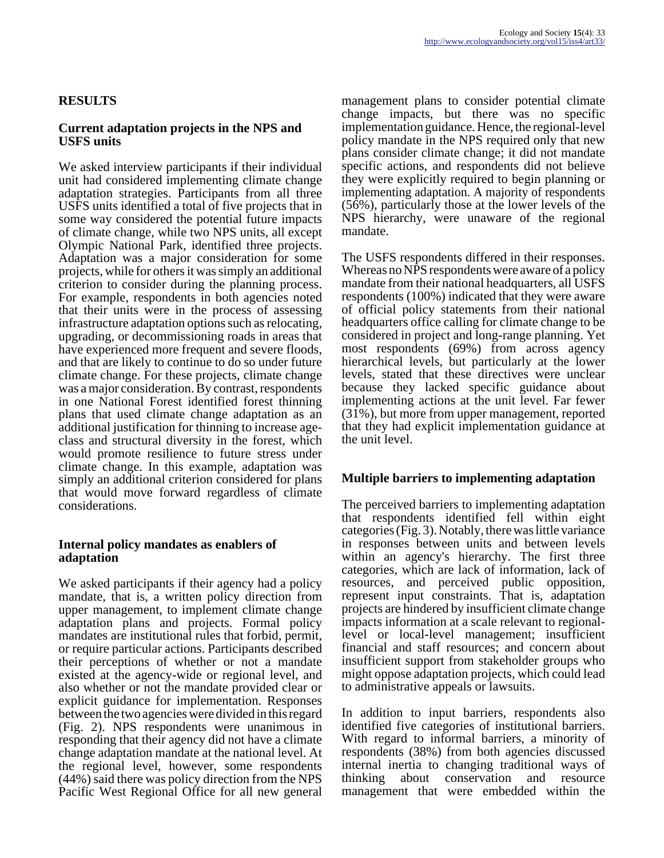# **RESULTS**

#### **Current adaptation projects in the NPS and USFS units**

We asked interview participants if their individual unit had considered implementing climate change adaptation strategies. Participants from all three USFS units identified a total of five projects that in some way considered the potential future impacts of climate change, while two NPS units, all except Olympic National Park, identified three projects. Adaptation was a major consideration for some projects, while for others it was simply an additional criterion to consider during the planning process. For example, respondents in both agencies noted that their units were in the process of assessing infrastructure adaptation options such as relocating, upgrading, or decommissioning roads in areas that have experienced more frequent and severe floods, and that are likely to continue to do so under future climate change. For these projects, climate change was a major consideration. By contrast, respondents in one National Forest identified forest thinning plans that used climate change adaptation as an additional justification for thinning to increase ageclass and structural diversity in the forest, which would promote resilience to future stress under climate change. In this example, adaptation was simply an additional criterion considered for plans that would move forward regardless of climate considerations.

#### **Internal policy mandates as enablers of adaptation**

We asked participants if their agency had a policy mandate, that is, a written policy direction from upper management, to implement climate change adaptation plans and projects. Formal policy mandates are institutional rules that forbid, permit, or require particular actions. Participants described their perceptions of whether or not a mandate existed at the agency-wide or regional level, and also whether or not the mandate provided clear or explicit guidance for implementation. Responses between the two agencies were divided in this regard (Fig. 2). NPS respondents were unanimous in responding that their agency did not have a climate change adaptation mandate at the national level. At the regional level, however, some respondents (44%) said there was policy direction from the NPS Pacific West Regional Office for all new general

management plans to consider potential climate change impacts, but there was no specific implementation guidance. Hence, the regional-level policy mandate in the NPS required only that new plans consider climate change; it did not mandate specific actions, and respondents did not believe they were explicitly required to begin planning or implementing adaptation. A majority of respondents (56%), particularly those at the lower levels of the NPS hierarchy, were unaware of the regional mandate.

The USFS respondents differed in their responses. Whereas no NPS respondents were aware of a policy mandate from their national headquarters, all USFS respondents (100%) indicated that they were aware of official policy statements from their national headquarters office calling for climate change to be considered in project and long-range planning. Yet most respondents (69%) from across agency hierarchical levels, but particularly at the lower levels, stated that these directives were unclear because they lacked specific guidance about implementing actions at the unit level. Far fewer (31%), but more from upper management, reported that they had explicit implementation guidance at the unit level.

#### **Multiple barriers to implementing adaptation**

The perceived barriers to implementing adaptation that respondents identified fell within eight categories (Fig. 3). Notably, there was little variance in responses between units and between levels within an agency's hierarchy. The first three categories, which are lack of information, lack of resources, and perceived public opposition, represent input constraints. That is, adaptation projects are hindered by insufficient climate change impacts information at a scale relevant to regionallevel or local-level management; insufficient financial and staff resources; and concern about insufficient support from stakeholder groups who might oppose adaptation projects, which could lead to administrative appeals or lawsuits.

In addition to input barriers, respondents also identified five categories of institutional barriers. With regard to informal barriers, a minority of respondents (38%) from both agencies discussed internal inertia to changing traditional ways of thinking about conservation and resource management that were embedded within the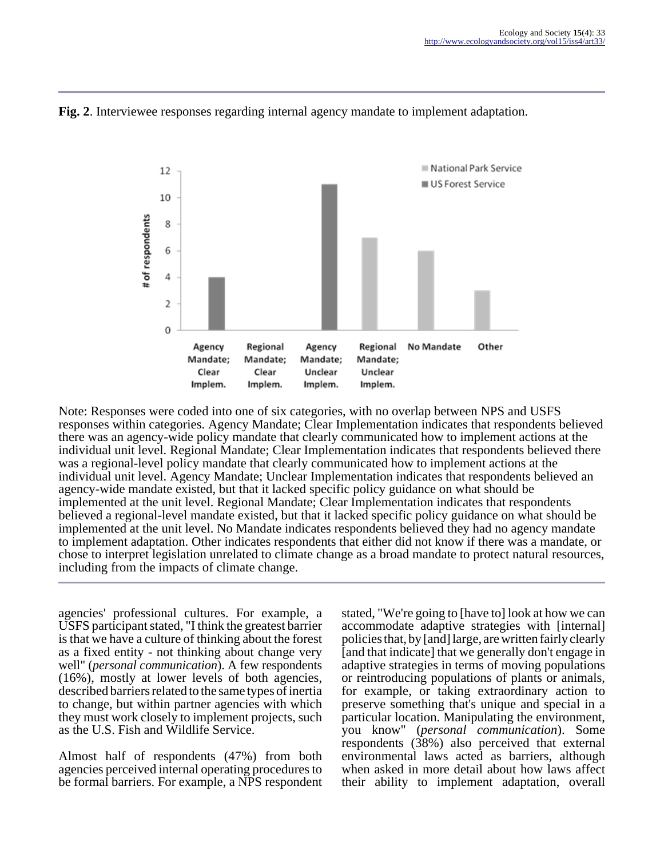

### **Fig. 2**. Interviewee responses regarding internal agency mandate to implement adaptation.

Note: Responses were coded into one of six categories, with no overlap between NPS and USFS responses within categories. Agency Mandate; Clear Implementation indicates that respondents believed there was an agency-wide policy mandate that clearly communicated how to implement actions at the individual unit level. Regional Mandate; Clear Implementation indicates that respondents believed there was a regional-level policy mandate that clearly communicated how to implement actions at the individual unit level. Agency Mandate; Unclear Implementation indicates that respondents believed an agency-wide mandate existed, but that it lacked specific policy guidance on what should be implemented at the unit level. Regional Mandate; Clear Implementation indicates that respondents believed a regional-level mandate existed, but that it lacked specific policy guidance on what should be implemented at the unit level. No Mandate indicates respondents believed they had no agency mandate to implement adaptation. Other indicates respondents that either did not know if there was a mandate, or chose to interpret legislation unrelated to climate change as a broad mandate to protect natural resources, including from the impacts of climate change.

agencies' professional cultures. For example, a USFS participant stated, "I think the greatest barrier is that we have a culture of thinking about the forest as a fixed entity - not thinking about change very well" (*personal communication*). A few respondents (16%), mostly at lower levels of both agencies, described barriers related to the same types of inertia to change, but within partner agencies with which they must work closely to implement projects, such as the U.S. Fish and Wildlife Service.

Almost half of respondents (47%) from both agencies perceived internal operating procedures to be formal barriers. For example, a NPS respondent stated, "We're going to [have to] look at how we can accommodate adaptive strategies with [internal] policies that, by [and] large, are written fairly clearly [and that indicate] that we generally don't engage in adaptive strategies in terms of moving populations or reintroducing populations of plants or animals, for example, or taking extraordinary action to preserve something that's unique and special in a particular location. Manipulating the environment, you know" (*personal communication*). Some respondents (38%) also perceived that external environmental laws acted as barriers, although when asked in more detail about how laws affect their ability to implement adaptation, overall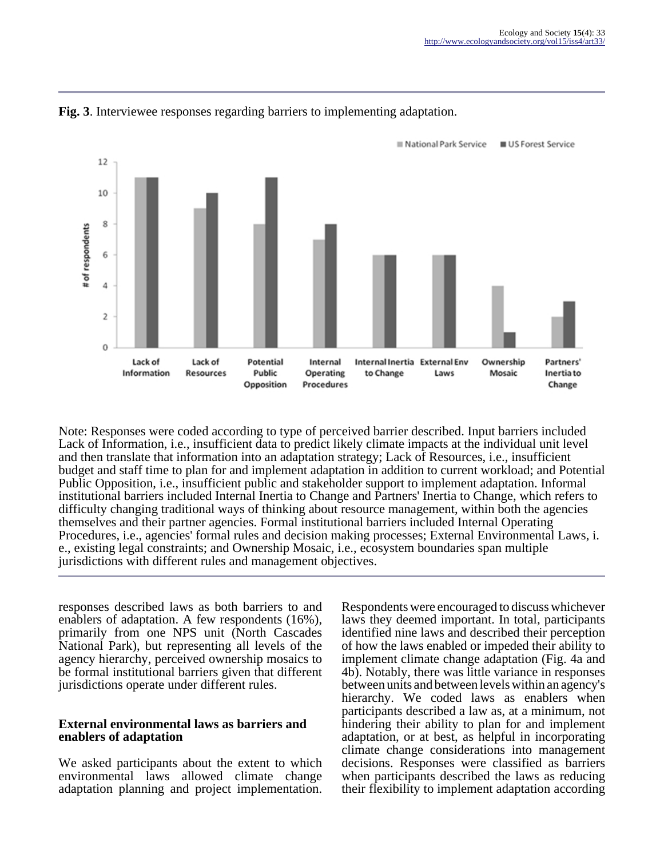



Note: Responses were coded according to type of perceived barrier described. Input barriers included Lack of Information, i.e., insufficient data to predict likely climate impacts at the individual unit level and then translate that information into an adaptation strategy; Lack of Resources, i.e., insufficient budget and staff time to plan for and implement adaptation in addition to current workload; and Potential Public Opposition, i.e., insufficient public and stakeholder support to implement adaptation. Informal institutional barriers included Internal Inertia to Change and Partners' Inertia to Change, which refers to difficulty changing traditional ways of thinking about resource management, within both the agencies themselves and their partner agencies. Formal institutional barriers included Internal Operating Procedures, i.e., agencies' formal rules and decision making processes; External Environmental Laws, i. e., existing legal constraints; and Ownership Mosaic, i.e., ecosystem boundaries span multiple jurisdictions with different rules and management objectives.

responses described laws as both barriers to and enablers of adaptation. A few respondents (16%), primarily from one NPS unit (North Cascades National Park), but representing all levels of the agency hierarchy, perceived ownership mosaics to be formal institutional barriers given that different jurisdictions operate under different rules.

### **External environmental laws as barriers and enablers of adaptation**

We asked participants about the extent to which environmental laws allowed climate change adaptation planning and project implementation.

Respondents were encouraged to discuss whichever laws they deemed important. In total, participants identified nine laws and described their perception of how the laws enabled or impeded their ability to implement climate change adaptation (Fig. 4a and 4b). Notably, there was little variance in responses between units and between levels within an agency's hierarchy. We coded laws as enablers when participants described a law as, at a minimum, not hindering their ability to plan for and implement adaptation, or at best, as helpful in incorporating climate change considerations into management decisions. Responses were classified as barriers when participants described the laws as reducing their flexibility to implement adaptation according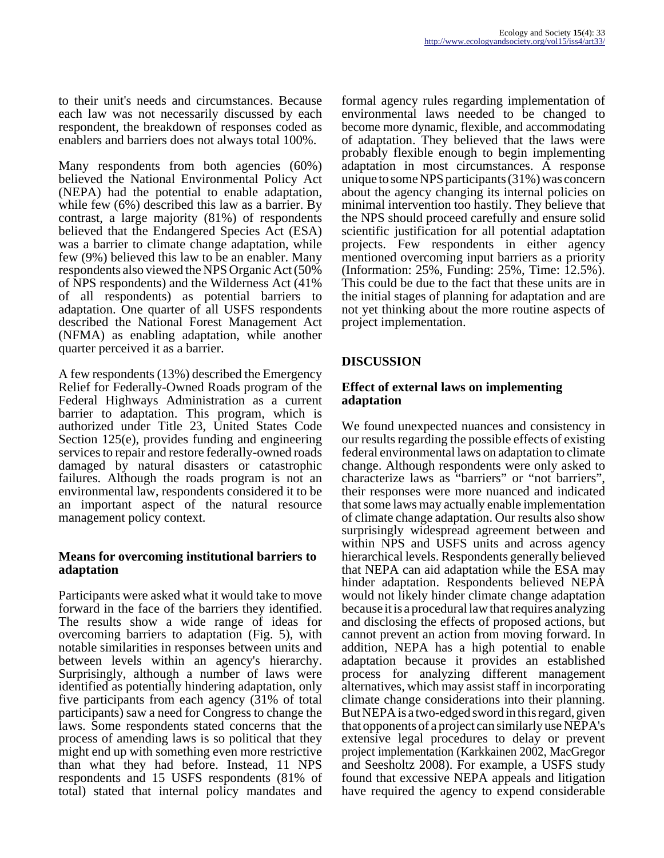to their unit's needs and circumstances. Because each law was not necessarily discussed by each respondent, the breakdown of responses coded as enablers and barriers does not always total 100%.

Many respondents from both agencies (60%) believed the National Environmental Policy Act (NEPA) had the potential to enable adaptation, while few (6%) described this law as a barrier. By contrast, a large majority (81%) of respondents believed that the Endangered Species Act (ESA) was a barrier to climate change adaptation, while few (9%) believed this law to be an enabler. Many respondents also viewed the NPS Organic Act (50% of NPS respondents) and the Wilderness Act (41% of all respondents) as potential barriers to adaptation. One quarter of all USFS respondents described the National Forest Management Act (NFMA) as enabling adaptation, while another quarter perceived it as a barrier.

A few respondents (13%) described the Emergency Relief for Federally-Owned Roads program of the Federal Highways Administration as a current barrier to adaptation. This program, which is authorized under Title 23, United States Code Section 125(e), provides funding and engineering services to repair and restore federally-owned roads damaged by natural disasters or catastrophic failures. Although the roads program is not an environmental law, respondents considered it to be an important aspect of the natural resource management policy context.

### **Means for overcoming institutional barriers to adaptation**

Participants were asked what it would take to move forward in the face of the barriers they identified. The results show a wide range of ideas for overcoming barriers to adaptation (Fig. 5), with notable similarities in responses between units and between levels within an agency's hierarchy. Surprisingly, although a number of laws were identified as potentially hindering adaptation, only five participants from each agency (31% of total participants) saw a need for Congress to change the laws. Some respondents stated concerns that the process of amending laws is so political that they might end up with something even more restrictive than what they had before. Instead, 11 NPS respondents and 15 USFS respondents (81% of total) stated that internal policy mandates and

formal agency rules regarding implementation of environmental laws needed to be changed to become more dynamic, flexible, and accommodating of adaptation. They believed that the laws were probably flexible enough to begin implementing adaptation in most circumstances. A response unique to some NPS participants (31%) was concern about the agency changing its internal policies on minimal intervention too hastily. They believe that the NPS should proceed carefully and ensure solid scientific justification for all potential adaptation projects. Few respondents in either agency mentioned overcoming input barriers as a priority (Information: 25%, Funding: 25%, Time: 12.5%). This could be due to the fact that these units are in the initial stages of planning for adaptation and are not yet thinking about the more routine aspects of project implementation.

## **DISCUSSION**

### **Effect of external laws on implementing adaptation**

We found unexpected nuances and consistency in our results regarding the possible effects of existing federal environmental laws on adaptation to climate change. Although respondents were only asked to characterize laws as "barriers" or "not barriers", their responses were more nuanced and indicated that some laws may actually enable implementation of climate change adaptation. Our results also show surprisingly widespread agreement between and within NPS and USFS units and across agency hierarchical levels. Respondents generally believed that NEPA can aid adaptation while the ESA may hinder adaptation. Respondents believed NEPA would not likely hinder climate change adaptation because it is a procedural law that requires analyzing and disclosing the effects of proposed actions, but cannot prevent an action from moving forward. In addition, NEPA has a high potential to enable adaptation because it provides an established process for analyzing different management alternatives, which may assist staff in incorporating climate change considerations into their planning. But NEPA is a two-edged sword in this regard, given that opponents of a project can similarly use NEPA's extensive legal procedures to delay or prevent project implementation (Karkkainen 2002, MacGregor and Seesholtz 2008). For example, a USFS study found that excessive NEPA appeals and litigation have required the agency to expend considerable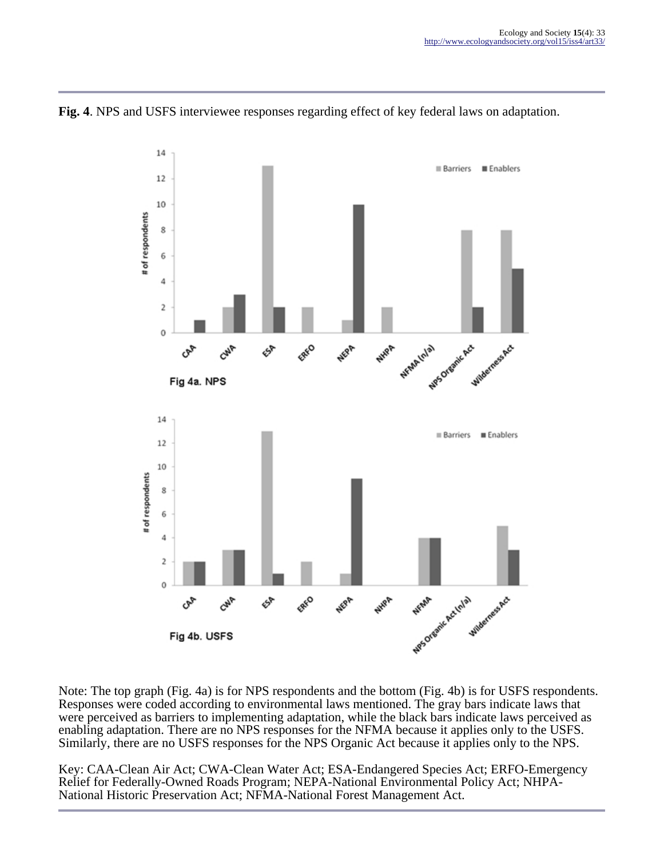

**Fig. 4**. NPS and USFS interviewee responses regarding effect of key federal laws on adaptation.

Note: The top graph (Fig. 4a) is for NPS respondents and the bottom (Fig. 4b) is for USFS respondents. Responses were coded according to environmental laws mentioned. The gray bars indicate laws that were perceived as barriers to implementing adaptation, while the black bars indicate laws perceived as enabling adaptation. There are no NPS responses for the NFMA because it applies only to the USFS. Similarly, there are no USFS responses for the NPS Organic Act because it applies only to the NPS.

Key: CAA-Clean Air Act; CWA-Clean Water Act; ESA-Endangered Species Act; ERFO-Emergency Relief for Federally-Owned Roads Program; NEPA-National Environmental Policy Act; NHPA-National Historic Preservation Act; NFMA-National Forest Management Act.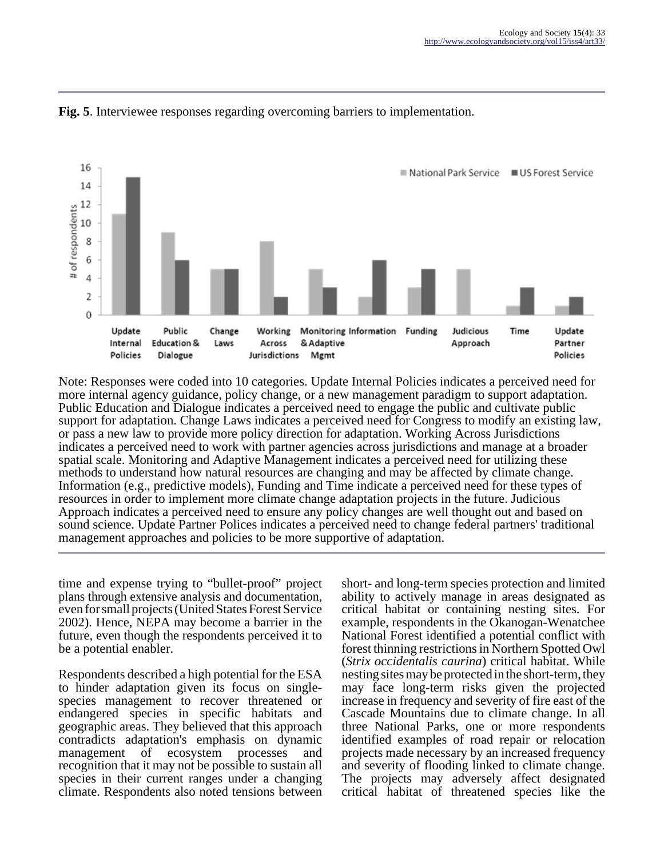

**Fig. 5**. Interviewee responses regarding overcoming barriers to implementation.

Note: Responses were coded into 10 categories. Update Internal Policies indicates a perceived need for more internal agency guidance, policy change, or a new management paradigm to support adaptation. Public Education and Dialogue indicates a perceived need to engage the public and cultivate public support for adaptation. Change Laws indicates a perceived need for Congress to modify an existing law, or pass a new law to provide more policy direction for adaptation. Working Across Jurisdictions indicates a perceived need to work with partner agencies across jurisdictions and manage at a broader spatial scale. Monitoring and Adaptive Management indicates a perceived need for utilizing these methods to understand how natural resources are changing and may be affected by climate change. Information (e.g., predictive models), Funding and Time indicate a perceived need for these types of resources in order to implement more climate change adaptation projects in the future. Judicious Approach indicates a perceived need to ensure any policy changes are well thought out and based on sound science. Update Partner Polices indicates a perceived need to change federal partners' traditional management approaches and policies to be more supportive of adaptation.

time and expense trying to "bullet-proof" project plans through extensive analysis and documentation, even for small projects (United States Forest Service 2002). Hence, NEPA may become a barrier in the future, even though the respondents perceived it to be a potential enabler.

Respondents described a high potential for the ESA to hinder adaptation given its focus on singlespecies management to recover threatened or endangered species in specific habitats and geographic areas. They believed that this approach contradicts adaptation's emphasis on dynamic management of ecosystem processes and recognition that it may not be possible to sustain all species in their current ranges under a changing climate. Respondents also noted tensions between short- and long-term species protection and limited ability to actively manage in areas designated as critical habitat or containing nesting sites. For example, respondents in the Okanogan-Wenatchee National Forest identified a potential conflict with forest thinning restrictions in Northern Spotted Owl (*Strix occidentalis caurina*) critical habitat. While nesting sites may be protected in the short-term, they may face long-term risks given the projected increase in frequency and severity of fire east of the Cascade Mountains due to climate change. In all three National Parks, one or more respondents identified examples of road repair or relocation projects made necessary by an increased frequency and severity of flooding linked to climate change. The projects may adversely affect designated critical habitat of threatened species like the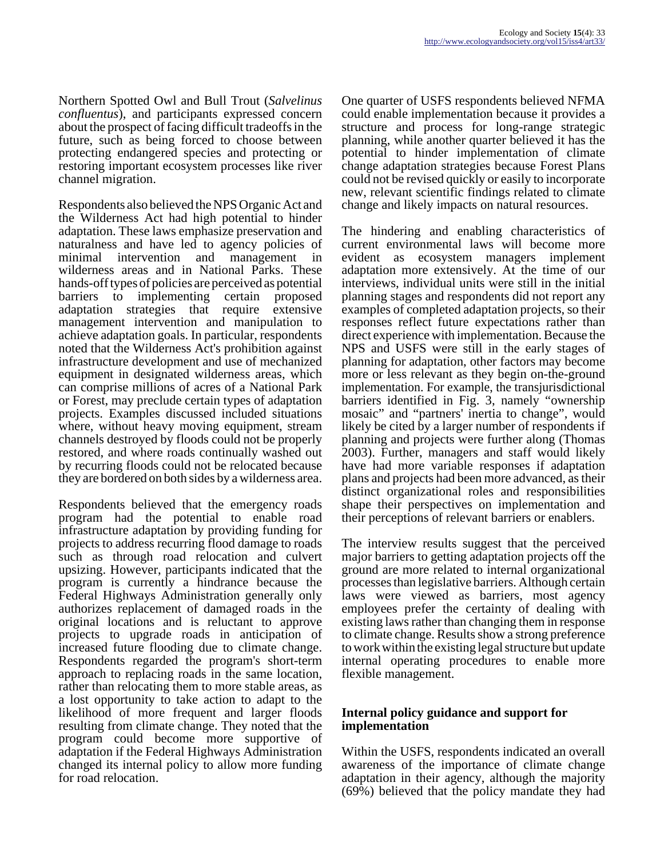Northern Spotted Owl and Bull Trout (*Salvelinus confluentus*), and participants expressed concern about the prospect of facing difficult tradeoffs in the future, such as being forced to choose between protecting endangered species and protecting or restoring important ecosystem processes like river channel migration.

Respondents also believed the NPS Organic Act and the Wilderness Act had high potential to hinder adaptation. These laws emphasize preservation and naturalness and have led to agency policies of minimal intervention and management in wilderness areas and in National Parks. These hands-off types of policies are perceived as potential barriers to implementing certain proposed adaptation strategies that require extensive management intervention and manipulation to achieve adaptation goals. In particular, respondents noted that the Wilderness Act's prohibition against infrastructure development and use of mechanized equipment in designated wilderness areas, which can comprise millions of acres of a National Park or Forest, may preclude certain types of adaptation projects. Examples discussed included situations where, without heavy moving equipment, stream channels destroyed by floods could not be properly restored, and where roads continually washed out by recurring floods could not be relocated because they are bordered on both sides by a wilderness area.

Respondents believed that the emergency roads program had the potential to enable road infrastructure adaptation by providing funding for projects to address recurring flood damage to roads such as through road relocation and culvert upsizing. However, participants indicated that the program is currently a hindrance because the Federal Highways Administration generally only authorizes replacement of damaged roads in the original locations and is reluctant to approve projects to upgrade roads in anticipation of increased future flooding due to climate change. Respondents regarded the program's short-term approach to replacing roads in the same location, rather than relocating them to more stable areas, as a lost opportunity to take action to adapt to the likelihood of more frequent and larger floods resulting from climate change. They noted that the program could become more supportive of adaptation if the Federal Highways Administration changed its internal policy to allow more funding for road relocation.

One quarter of USFS respondents believed NFMA could enable implementation because it provides a structure and process for long-range strategic planning, while another quarter believed it has the potential to hinder implementation of climate change adaptation strategies because Forest Plans could not be revised quickly or easily to incorporate new, relevant scientific findings related to climate change and likely impacts on natural resources.

The hindering and enabling characteristics of current environmental laws will become more evident as ecosystem managers implement adaptation more extensively. At the time of our interviews, individual units were still in the initial planning stages and respondents did not report any examples of completed adaptation projects, so their responses reflect future expectations rather than direct experience with implementation. Because the NPS and USFS were still in the early stages of planning for adaptation, other factors may become more or less relevant as they begin on-the-ground implementation. For example, the transjurisdictional barriers identified in Fig. 3, namely "ownership mosaic" and "partners' inertia to change", would likely be cited by a larger number of respondents if planning and projects were further along (Thomas 2003). Further, managers and staff would likely have had more variable responses if adaptation plans and projects had been more advanced, as their distinct organizational roles and responsibilities shape their perspectives on implementation and their perceptions of relevant barriers or enablers.

The interview results suggest that the perceived major barriers to getting adaptation projects off the ground are more related to internal organizational processes than legislative barriers. Although certain laws were viewed as barriers, most agency employees prefer the certainty of dealing with existing laws rather than changing them in response to climate change. Results show a strong preference to work within the existing legal structure but update internal operating procedures to enable more flexible management.

#### **Internal policy guidance and support for implementation**

Within the USFS, respondents indicated an overall awareness of the importance of climate change adaptation in their agency, although the majority (69%) believed that the policy mandate they had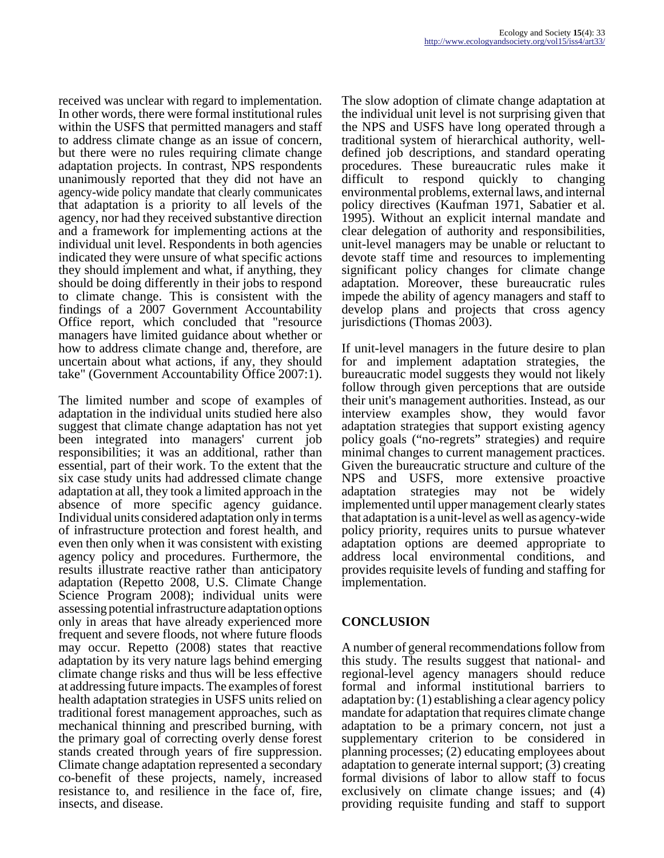received was unclear with regard to implementation. In other words, there were formal institutional rules within the USFS that permitted managers and staff to address climate change as an issue of concern, but there were no rules requiring climate change adaptation projects. In contrast, NPS respondents unanimously reported that they did not have an agency-wide policy mandate that clearly communicates that adaptation is a priority to all levels of the agency, nor had they received substantive direction and a framework for implementing actions at the individual unit level. Respondents in both agencies indicated they were unsure of what specific actions they should implement and what, if anything, they should be doing differently in their jobs to respond to climate change. This is consistent with the findings of a 2007 Government Accountability Office report, which concluded that "resource managers have limited guidance about whether or how to address climate change and, therefore, are uncertain about what actions, if any, they should take" (Government Accountability Office 2007:1).

The limited number and scope of examples of adaptation in the individual units studied here also suggest that climate change adaptation has not yet been integrated into managers' current job responsibilities; it was an additional, rather than essential, part of their work. To the extent that the six case study units had addressed climate change adaptation at all, they took a limited approach in the absence of more specific agency guidance. Individual units considered adaptation only in terms of infrastructure protection and forest health, and even then only when it was consistent with existing agency policy and procedures. Furthermore, the results illustrate reactive rather than anticipatory adaptation (Repetto 2008, U.S. Climate Change Science Program 2008); individual units were assessing potential infrastructure adaptation options only in areas that have already experienced more frequent and severe floods, not where future floods may occur. Repetto (2008) states that reactive adaptation by its very nature lags behind emerging climate change risks and thus will be less effective at addressing future impacts. The examples of forest health adaptation strategies in USFS units relied on traditional forest management approaches, such as mechanical thinning and prescribed burning, with the primary goal of correcting overly dense forest stands created through years of fire suppression. Climate change adaptation represented a secondary co-benefit of these projects, namely, increased resistance to, and resilience in the face of, fire, insects, and disease.

The slow adoption of climate change adaptation at the individual unit level is not surprising given that the NPS and USFS have long operated through a traditional system of hierarchical authority, welldefined job descriptions, and standard operating procedures. These bureaucratic rules make it difficult to respond quickly to changing environmental problems, external laws, and internal policy directives (Kaufman 1971, Sabatier et al. 1995). Without an explicit internal mandate and clear delegation of authority and responsibilities, unit-level managers may be unable or reluctant to devote staff time and resources to implementing significant policy changes for climate change adaptation. Moreover, these bureaucratic rules impede the ability of agency managers and staff to develop plans and projects that cross agency jurisdictions (Thomas 2003).

If unit-level managers in the future desire to plan for and implement adaptation strategies, the bureaucratic model suggests they would not likely follow through given perceptions that are outside their unit's management authorities. Instead, as our interview examples show, they would favor adaptation strategies that support existing agency policy goals ("no-regrets" strategies) and require minimal changes to current management practices. Given the bureaucratic structure and culture of the NPS and USFS, more extensive proactive adaptation strategies may not be widely implemented until upper management clearly states that adaptation is a unit-level as well as agency-wide policy priority, requires units to pursue whatever adaptation options are deemed appropriate to address local environmental conditions, and provides requisite levels of funding and staffing for implementation.

# **CONCLUSION**

A number of general recommendations follow from this study. The results suggest that national- and regional-level agency managers should reduce formal and informal institutional barriers to adaptation by: (1) establishing a clear agency policy mandate for adaptation that requires climate change adaptation to be a primary concern, not just a supplementary criterion to be considered in planning processes; (2) educating employees about adaptation to generate internal support; (3) creating formal divisions of labor to allow staff to focus exclusively on climate change issues; and (4) providing requisite funding and staff to support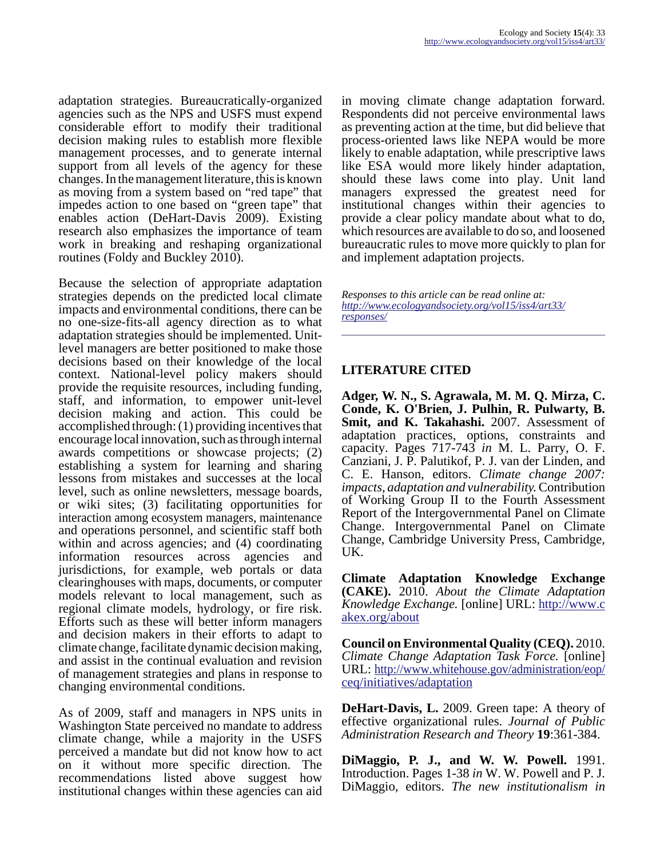adaptation strategies. Bureaucratically-organized agencies such as the NPS and USFS must expend considerable effort to modify their traditional decision making rules to establish more flexible management processes, and to generate internal support from all levels of the agency for these changes. In the management literature, this is known as moving from a system based on "red tape" that impedes action to one based on "green tape" that enables action (DeHart-Davis 2009). Existing research also emphasizes the importance of team work in breaking and reshaping organizational routines (Foldy and Buckley 2010).

Because the selection of appropriate adaptation strategies depends on the predicted local climate impacts and environmental conditions, there can be no one-size-fits-all agency direction as to what adaptation strategies should be implemented. Unitlevel managers are better positioned to make those decisions based on their knowledge of the local context. National-level policy makers should provide the requisite resources, including funding, staff, and information, to empower unit-level decision making and action. This could be accomplished through: (1) providing incentives that encourage local innovation, such as through internal awards competitions or showcase projects; (2) establishing a system for learning and sharing lessons from mistakes and successes at the local level, such as online newsletters, message boards, or wiki sites; (3) facilitating opportunities for interaction among ecosystem managers, maintenance and operations personnel, and scientific staff both within and across agencies; and  $(4)$  coordinating information resources across agencies and jurisdictions, for example, web portals or data clearinghouses with maps, documents, or computer models relevant to local management, such as regional climate models, hydrology, or fire risk. Efforts such as these will better inform managers and decision makers in their efforts to adapt to climate change, facilitate dynamic decision making, and assist in the continual evaluation and revision of management strategies and plans in response to changing environmental conditions.

As of 2009, staff and managers in NPS units in Washington State perceived no mandate to address climate change, while a majority in the USFS perceived a mandate but did not know how to act on it without more specific direction. The recommendations listed above suggest how institutional changes within these agencies can aid

in moving climate change adaptation forward. Respondents did not perceive environmental laws as preventing action at the time, but did believe that process-oriented laws like NEPA would be more likely to enable adaptation, while prescriptive laws like ESA would more likely hinder adaptation, should these laws come into play. Unit land managers expressed the greatest need for institutional changes within their agencies to provide a clear policy mandate about what to do, which resources are available to do so, and loosened bureaucratic rules to move more quickly to plan for and implement adaptation projects.

*Responses to this article can be read online at: [http://www](http://www.ecologyandsociety.org/vol15/iss4/art33/responses/).ecologyandsociety.org/vol15/iss4/art33/ responses/*

## **LITERATURE CITED**

**Adger, W. N., S. Agrawala, M. M. Q. Mirza, C. Conde, K. O'Brien, J. Pulhin, R. Pulwarty, B. Smit, and K. Takahashi.** 2007. Assessment of adaptation practices, options, constraints and capacity. Pages 717-743 *in* M. L. Parry, O. F. Canziani, J. P. Palutikof, P. J. van der Linden, and C. E. Hanson, editors. *Climate change 2007: impacts, adaptation and vulnerability.* Contribution of Working Group II to the Fourth Assessment Report of the Intergovernmental Panel on Climate Change. Intergovernmental Panel on Climate Change, Cambridge University Press, Cambridge, UK.

**Climate Adaptation Knowledge Exchange (CAKE).** 2010. *About the Climate Adaptation Knowledge Exchange.* [online] URL: [http://www.c](http://www.cakex.org/about) [akex.org/about](http://www.cakex.org/about)

**Council on Environmental Quality (CEQ).** 2010. *Climate Change Adaptation Task Force.* [online] URL: [http://www.whitehouse.gov/administration/eop/](http://www.whitehouse.gov/administration/eop/ceq/initiatives/adaptation) [ceq/initiatives/adaptation](http://www.whitehouse.gov/administration/eop/ceq/initiatives/adaptation)

**DeHart-Davis, L.** 2009. Green tape: A theory of effective organizational rules. *Journal of Public Administration Research and Theory* **19**:361-384.

**DiMaggio, P. J., and W. W. Powell.** 1991. Introduction. Pages 1-38 *in* W. W. Powell and P. J. DiMaggio, editors. *The new institutionalism in*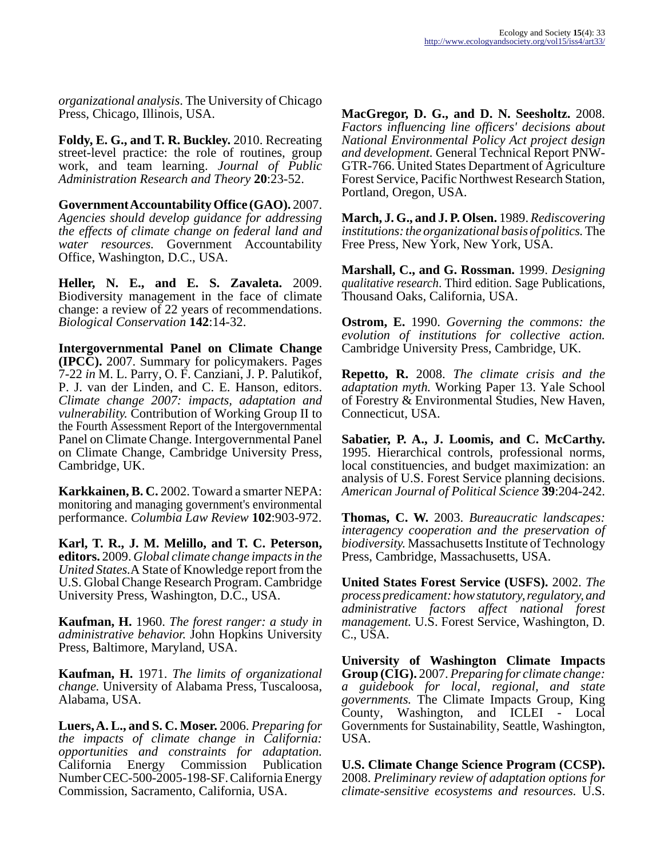*organizational analysis*. The University of Chicago Press, Chicago, Illinois, USA.

**Foldy, E. G., and T. R. Buckley.** 2010. Recreating street-level practice: the role of routines, group work, and team learning. *Journal of Public Administration Research and Theory* **20**:23-52.

**Government Accountability Office (GAO).** 2007. *Agencies should develop guidance for addressing the effects of climate change on federal land and water resources.* Government Accountability Office, Washington, D.C., USA.

**Heller, N. E., and E. S. Zavaleta.** 2009. Biodiversity management in the face of climate change: a review of 22 years of recommendations. *Biological Conservation* **142**:14-32.

**Intergovernmental Panel on Climate Change (IPCC).** 2007. Summary for policymakers. Pages 7-22 *in* M. L. Parry, O. F. Canziani, J. P. Palutikof, P. J. van der Linden, and C. E. Hanson, editors. *Climate change 2007: impacts, adaptation and vulnerability.* Contribution of Working Group II to the Fourth Assessment Report of the Intergovernmental Panel on Climate Change. Intergovernmental Panel on Climate Change, Cambridge University Press, Cambridge, UK.

**Karkkainen, B. C.** 2002. Toward a smarter NEPA: monitoring and managing government's environmental performance. *Columbia Law Review* **102**:903-972.

**Karl, T. R., J. M. Melillo, and T. C. Peterson, editors.** 2009. *Global climate change impacts in the United States.*A State of Knowledge report from the U.S. Global Change Research Program. Cambridge University Press, Washington, D.C., USA.

**Kaufman, H.** 1960. *The forest ranger: a study in administrative behavior.* John Hopkins University Press, Baltimore, Maryland, USA.

**Kaufman, H.** 1971. *The limits of organizational change.* University of Alabama Press, Tuscaloosa, Alabama, USA.

**Luers, A. L., and S. C. Moser.** 2006. *Preparing for the impacts of climate change in California: opportunities and constraints for adaptation.* California Energy Commission Publication Number CEC-500-2005-198-SF. California Energy Commission, Sacramento, California, USA.

**MacGregor, D. G., and D. N. Seesholtz.** 2008. *Factors influencing line officers' decisions about National Environmental Policy Act project design and development.* General Technical Report PNW-GTR-766. United States Department of Agriculture Forest Service, Pacific Northwest Research Station, Portland, Oregon, USA.

**March, J. G., and J. P. Olsen.** 1989. *Rediscovering institutions: the organizational basis of politics.* The Free Press, New York, New York, USA.

**Marshall, C., and G. Rossman.** 1999. *Designing qualitative research*. Third edition. Sage Publications, Thousand Oaks, California, USA.

**Ostrom, E.** 1990. *Governing the commons: the evolution of institutions for collective action.* Cambridge University Press, Cambridge, UK.

**Repetto, R.** 2008. *The climate crisis and the adaptation myth.* Working Paper 13. Yale School of Forestry & Environmental Studies, New Haven, Connecticut, USA.

**Sabatier, P. A., J. Loomis, and C. McCarthy.** 1995. Hierarchical controls, professional norms, local constituencies, and budget maximization: an analysis of U.S. Forest Service planning decisions. *American Journal of Political Science* **39**:204-242.

**Thomas, C. W.** 2003. *Bureaucratic landscapes: interagency cooperation and the preservation of biodiversity.* Massachusetts Institute of Technology Press, Cambridge, Massachusetts, USA.

**United States Forest Service (USFS).** 2002. *The process predicament: how statutory, regulatory, and administrative factors affect national forest management.* U.S. Forest Service, Washington, D. C., USA.

**University of Washington Climate Impacts Group (CIG).** 2007. *Preparing for climate change: a guidebook for local, regional, and state governments.* The Climate Impacts Group, King County, Washington, and ICLEI - Local Governments for Sustainability, Seattle, Washington, USA.

**U.S. Climate Change Science Program (CCSP).** 2008. *Preliminary review of adaptation options for climate-sensitive ecosystems and resources.* U.S.